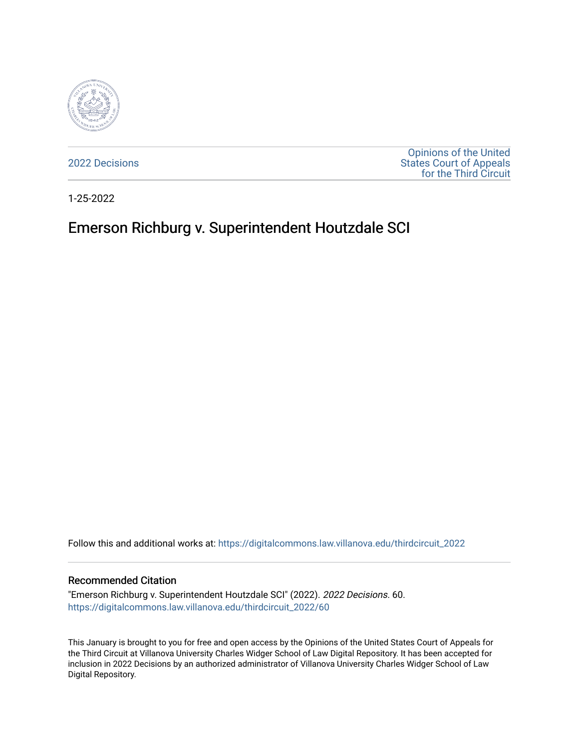

[2022 Decisions](https://digitalcommons.law.villanova.edu/thirdcircuit_2022)

[Opinions of the United](https://digitalcommons.law.villanova.edu/thirdcircuit)  [States Court of Appeals](https://digitalcommons.law.villanova.edu/thirdcircuit)  [for the Third Circuit](https://digitalcommons.law.villanova.edu/thirdcircuit) 

1-25-2022

# Emerson Richburg v. Superintendent Houtzdale SCI

Follow this and additional works at: [https://digitalcommons.law.villanova.edu/thirdcircuit\\_2022](https://digitalcommons.law.villanova.edu/thirdcircuit_2022?utm_source=digitalcommons.law.villanova.edu%2Fthirdcircuit_2022%2F60&utm_medium=PDF&utm_campaign=PDFCoverPages) 

### Recommended Citation

"Emerson Richburg v. Superintendent Houtzdale SCI" (2022). 2022 Decisions. 60. [https://digitalcommons.law.villanova.edu/thirdcircuit\\_2022/60](https://digitalcommons.law.villanova.edu/thirdcircuit_2022/60?utm_source=digitalcommons.law.villanova.edu%2Fthirdcircuit_2022%2F60&utm_medium=PDF&utm_campaign=PDFCoverPages)

This January is brought to you for free and open access by the Opinions of the United States Court of Appeals for the Third Circuit at Villanova University Charles Widger School of Law Digital Repository. It has been accepted for inclusion in 2022 Decisions by an authorized administrator of Villanova University Charles Widger School of Law Digital Repository.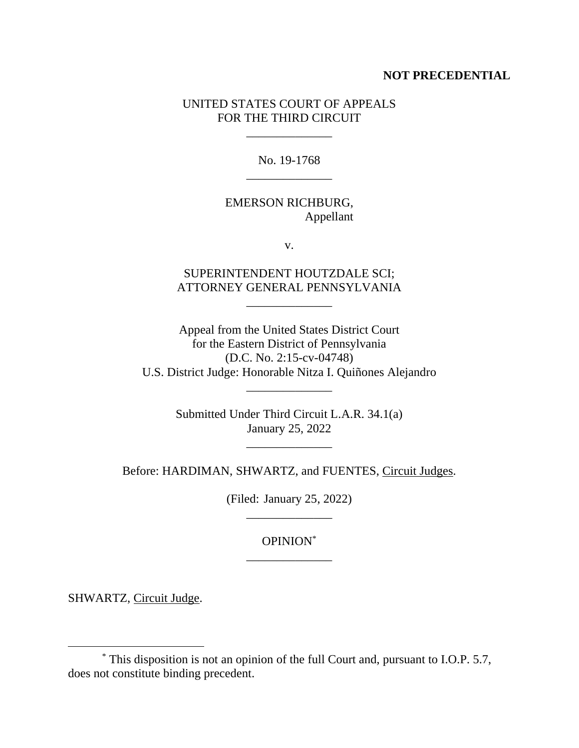### **NOT PRECEDENTIAL**

## UNITED STATES COURT OF APPEALS FOR THE THIRD CIRCUIT

\_\_\_\_\_\_\_\_\_\_\_\_\_\_

No. 19-1768 \_\_\_\_\_\_\_\_\_\_\_\_\_\_

## EMERSON RICHBURG, Appellant

v.

## SUPERINTENDENT HOUTZDALE SCI; ATTORNEY GENERAL PENNSYLVANIA

\_\_\_\_\_\_\_\_\_\_\_\_\_\_

Appeal from the United States District Court for the Eastern District of Pennsylvania (D.C. No. 2:15-cv-04748) U.S. District Judge: Honorable Nitza I. Quiñones Alejandro

\_\_\_\_\_\_\_\_\_\_\_\_\_\_

Submitted Under Third Circuit L.A.R. 34.1(a) January 25, 2022

Before: HARDIMAN, SHWARTZ, and FUENTES, Circuit Judges.

(Filed: January 25, 2022) \_\_\_\_\_\_\_\_\_\_\_\_\_\_

## OPINION\* \_\_\_\_\_\_\_\_\_\_\_\_\_\_

SHWARTZ, Circuit Judge.

<sup>\*</sup> This disposition is not an opinion of the full Court and, pursuant to I.O.P. 5.7, does not constitute binding precedent.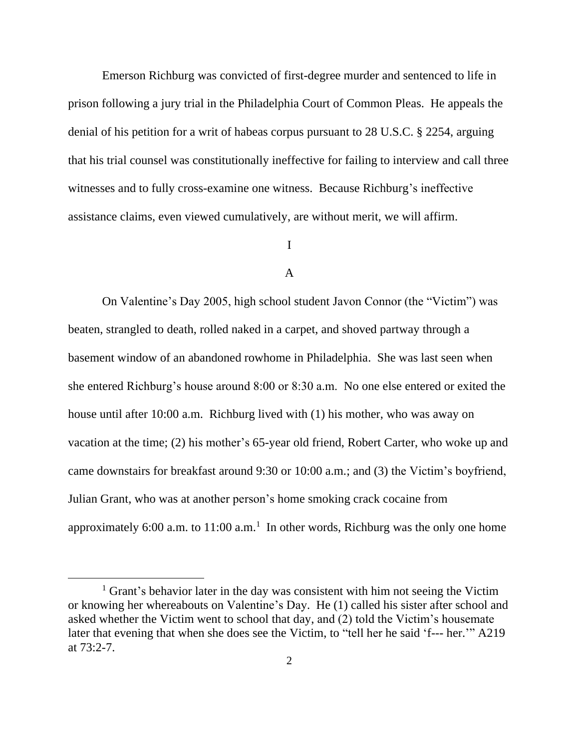Emerson Richburg was convicted of first-degree murder and sentenced to life in prison following a jury trial in the Philadelphia Court of Common Pleas. He appeals the denial of his petition for a writ of habeas corpus pursuant to 28 U.S.C. § 2254, arguing that his trial counsel was constitutionally ineffective for failing to interview and call three witnesses and to fully cross-examine one witness. Because Richburg's ineffective assistance claims, even viewed cumulatively, are without merit, we will affirm.

## I

### A

On Valentine's Day 2005, high school student Javon Connor (the "Victim") was beaten, strangled to death, rolled naked in a carpet, and shoved partway through a basement window of an abandoned rowhome in Philadelphia. She was last seen when she entered Richburg's house around 8:00 or 8:30 a.m. No one else entered or exited the house until after 10:00 a.m. Richburg lived with (1) his mother, who was away on vacation at the time; (2) his mother's 65-year old friend, Robert Carter, who woke up and came downstairs for breakfast around 9:30 or 10:00 a.m.; and (3) the Victim's boyfriend, Julian Grant, who was at another person's home smoking crack cocaine from approximately 6:00 a.m. to  $11:00$  a.m.<sup>1</sup> In other words, Richburg was the only one home

<sup>&</sup>lt;sup>1</sup> Grant's behavior later in the day was consistent with him not seeing the Victim or knowing her whereabouts on Valentine's Day. He (1) called his sister after school and asked whether the Victim went to school that day, and (2) told the Victim's housemate later that evening that when she does see the Victim, to "tell her he said 'f--- her.'" A219 at 73:2-7.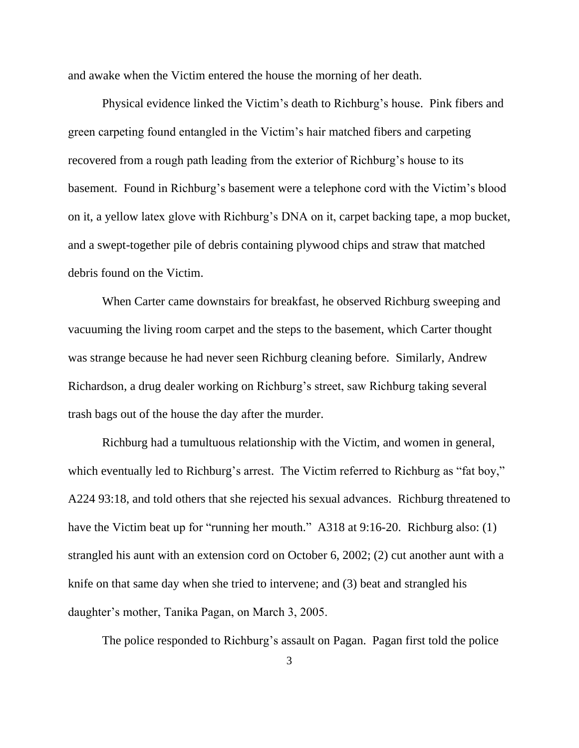and awake when the Victim entered the house the morning of her death.

Physical evidence linked the Victim's death to Richburg's house. Pink fibers and green carpeting found entangled in the Victim's hair matched fibers and carpeting recovered from a rough path leading from the exterior of Richburg's house to its basement. Found in Richburg's basement were a telephone cord with the Victim's blood on it, a yellow latex glove with Richburg's DNA on it, carpet backing tape, a mop bucket, and a swept-together pile of debris containing plywood chips and straw that matched debris found on the Victim.

When Carter came downstairs for breakfast, he observed Richburg sweeping and vacuuming the living room carpet and the steps to the basement, which Carter thought was strange because he had never seen Richburg cleaning before. Similarly, Andrew Richardson, a drug dealer working on Richburg's street, saw Richburg taking several trash bags out of the house the day after the murder.

Richburg had a tumultuous relationship with the Victim, and women in general, which eventually led to Richburg's arrest. The Victim referred to Richburg as "fat boy," A224 93:18, and told others that she rejected his sexual advances. Richburg threatened to have the Victim beat up for "running her mouth." A318 at 9:16-20. Richburg also: (1) strangled his aunt with an extension cord on October 6, 2002; (2) cut another aunt with a knife on that same day when she tried to intervene; and (3) beat and strangled his daughter's mother, Tanika Pagan, on March 3, 2005.

The police responded to Richburg's assault on Pagan.Pagan first told the police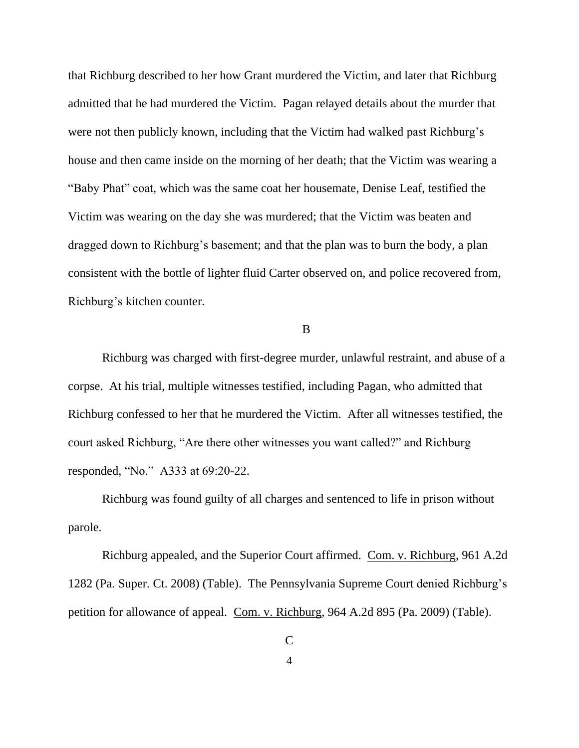that Richburg described to her how Grant murdered the Victim, and later that Richburg admitted that he had murdered the Victim. Pagan relayed details about the murder that were not then publicly known, including that the Victim had walked past Richburg's house and then came inside on the morning of her death; that the Victim was wearing a "Baby Phat" coat, which was the same coat her housemate, Denise Leaf, testified the Victim was wearing on the day she was murdered; that the Victim was beaten and dragged down to Richburg's basement; and that the plan was to burn the body, a plan consistent with the bottle of lighter fluid Carter observed on, and police recovered from, Richburg's kitchen counter.

### B

Richburg was charged with first-degree murder, unlawful restraint, and abuse of a corpse. At his trial, multiple witnesses testified, including Pagan, who admitted that Richburg confessed to her that he murdered the Victim. After all witnesses testified, the court asked Richburg, "Are there other witnesses you want called?" and Richburg responded, "No." A333 at 69:20-22.

Richburg was found guilty of all charges and sentenced to life in prison without parole.

Richburg appealed, and the Superior Court affirmed. Com. v. Richburg, 961 A.2d 1282 (Pa. Super. Ct. 2008) (Table). The Pennsylvania Supreme Court denied Richburg's petition for allowance of appeal. Com. v. Richburg, 964 A.2d 895 (Pa. 2009) (Table).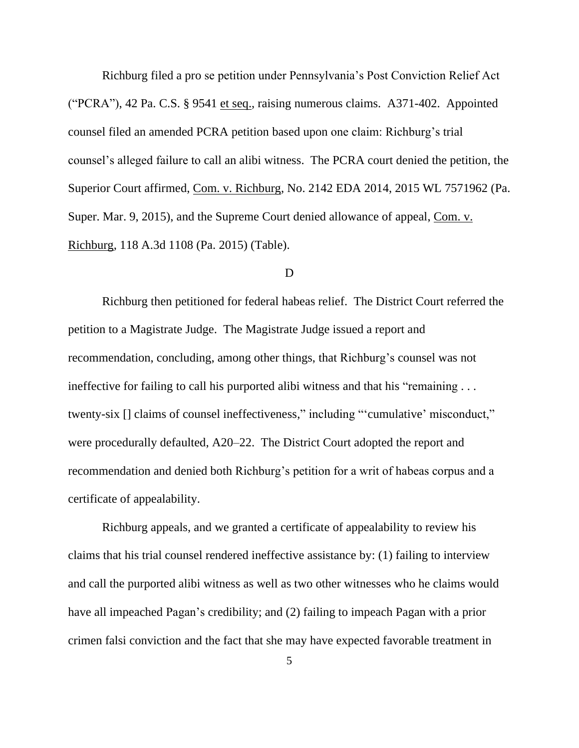Richburg filed a pro se petition under Pennsylvania's Post Conviction Relief Act ("PCRA"), 42 Pa. C.S. § 9541 et seq., raising numerous claims. A371-402. Appointed counsel filed an amended PCRA petition based upon one claim: Richburg's trial counsel's alleged failure to call an alibi witness. The PCRA court denied the petition, the Superior Court affirmed, Com. v. Richburg, No. 2142 EDA 2014, 2015 WL 7571962 (Pa. Super. Mar. 9, 2015), and the Supreme Court denied allowance of appeal, Com. v. Richburg, 118 A.3d 1108 (Pa. 2015) (Table).

### D

Richburg then petitioned for federal habeas relief. The District Court referred the petition to a Magistrate Judge. The Magistrate Judge issued a report and recommendation, concluding, among other things, that Richburg's counsel was not ineffective for failing to call his purported alibi witness and that his "remaining . . . twenty-six [] claims of counsel ineffectiveness," including "'cumulative' misconduct," were procedurally defaulted, A20–22. The District Court adopted the report and recommendation and denied both Richburg's petition for a writ of habeas corpus and a certificate of appealability.

Richburg appeals, and we granted a certificate of appealability to review his claims that his trial counsel rendered ineffective assistance by: (1) failing to interview and call the purported alibi witness as well as two other witnesses who he claims would have all impeached Pagan's credibility; and (2) failing to impeach Pagan with a prior crimen falsi conviction and the fact that she may have expected favorable treatment in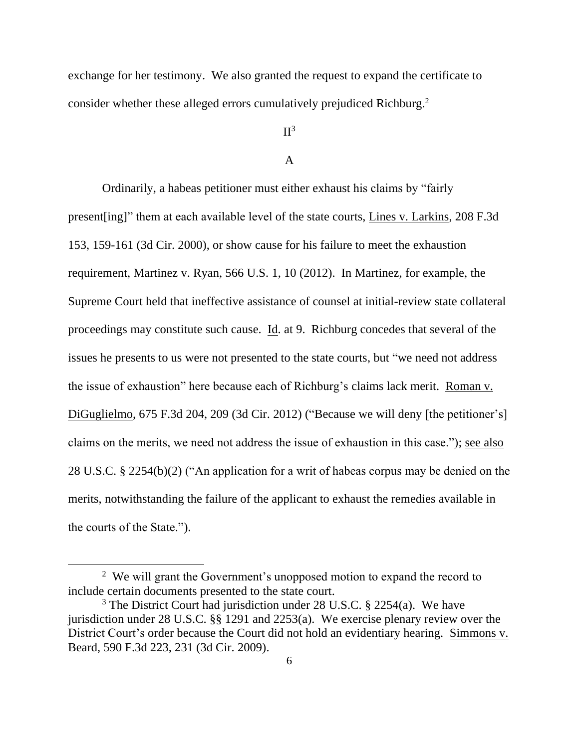exchange for her testimony. We also granted the request to expand the certificate to consider whether these alleged errors cumulatively prejudiced Richburg. 2

## $II<sup>3</sup>$

### A

Ordinarily, a habeas petitioner must either exhaust his claims by "fairly present[ing]" them at each available level of the state courts, Lines v. Larkins, 208 F.3d 153, 159-161 (3d Cir. 2000), or show cause for his failure to meet the exhaustion requirement, Martinez v. Ryan, 566 U.S. 1, 10 (2012). In Martinez, for example, the Supreme Court held that ineffective assistance of counsel at initial-review state collateral proceedings may constitute such cause. Id. at 9. Richburg concedes that several of the issues he presents to us were not presented to the state courts, but "we need not address the issue of exhaustion" here because each of Richburg's claims lack merit. Roman v. DiGuglielmo, 675 F.3d 204, 209 (3d Cir. 2012) ("Because we will deny [the petitioner's] claims on the merits, we need not address the issue of exhaustion in this case."); see also 28 U.S.C. § 2254(b)(2) ("An application for a writ of habeas corpus may be denied on the merits, notwithstanding the failure of the applicant to exhaust the remedies available in the courts of the State.").

 $2$  We will grant the Government's unopposed motion to expand the record to include certain documents presented to the state court.

<sup>&</sup>lt;sup>3</sup> The District Court had jurisdiction under 28 U.S.C. § 2254(a). We have jurisdiction under 28 U.S.C. §§ 1291 and 2253(a). We exercise plenary review over the District Court's order because the Court did not hold an evidentiary hearing. Simmons v. Beard, 590 F.3d 223, 231 (3d Cir. 2009).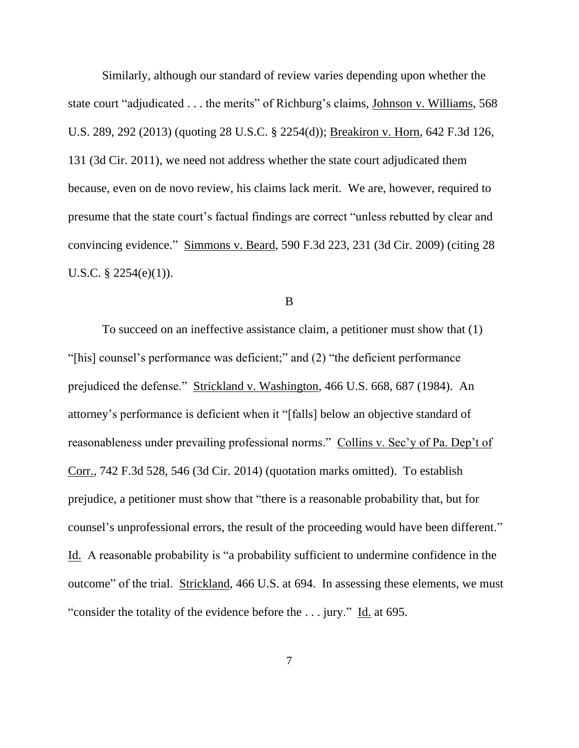Similarly, although our standard of review varies depending upon whether the state court "adjudicated . . . the merits" of Richburg's claims, Johnson v. Williams, 568 U.S. 289, 292 (2013) (quoting 28 U.S.C. § 2254(d)); Breakiron v. Horn, 642 F.3d 126, 131 (3d Cir. 2011), we need not address whether the state court adjudicated them because, even on de novo review, his claims lack merit. We are, however, required to presume that the state court's factual findings are correct "unless rebutted by clear and convincing evidence." Simmons v. Beard, 590 F.3d 223, 231 (3d Cir. 2009) (citing 28 U.S.C.  $\S$  2254(e)(1)).

B

To succeed on an ineffective assistance claim, a petitioner must show that (1) "[his] counsel's performance was deficient;" and (2) "the deficient performance prejudiced the defense." Strickland v. Washington, 466 U.S. 668, 687 (1984). An attorney's performance is deficient when it "[falls] below an objective standard of reasonableness under prevailing professional norms." Collins v. Sec'y of Pa. Dep't of Corr., 742 F.3d 528, 546 (3d Cir. 2014) (quotation marks omitted). To establish prejudice, a petitioner must show that "there is a reasonable probability that, but for counsel's unprofessional errors, the result of the proceeding would have been different." Id. A reasonable probability is "a probability sufficient to undermine confidence in the outcome" of the trial. Strickland, 466 U.S. at 694. In assessing these elements, we must "consider the totality of the evidence before the . . . jury." Id. at 695.

7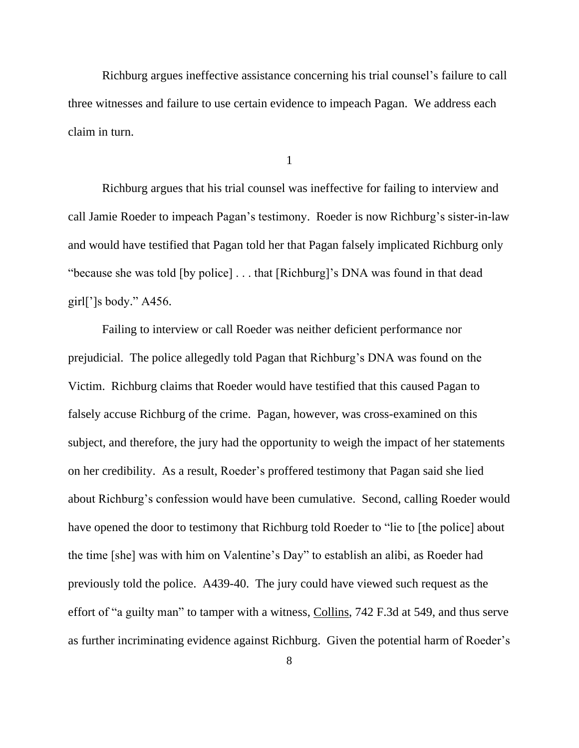Richburg argues ineffective assistance concerning his trial counsel's failure to call three witnesses and failure to use certain evidence to impeach Pagan. We address each claim in turn.

1

Richburg argues that his trial counsel was ineffective for failing to interview and call Jamie Roeder to impeach Pagan's testimony.Roeder is now Richburg's sister-in-law and would have testified that Pagan told her that Pagan falsely implicated Richburg only "because she was told [by police] . . . that [Richburg]'s DNA was found in that dead girl $\lceil$ ']s body." A456.

Failing to interview or call Roeder was neither deficient performance nor prejudicial. The police allegedly told Pagan that Richburg's DNA was found on the Victim. Richburg claims that Roeder would have testified that this caused Pagan to falsely accuse Richburg of the crime. Pagan, however, was cross-examined on this subject, and therefore, the jury had the opportunity to weigh the impact of her statements on her credibility. As a result, Roeder's proffered testimony that Pagan said she lied about Richburg's confession would have been cumulative. Second, calling Roeder would have opened the door to testimony that Richburg told Roeder to "lie to [the police] about the time [she] was with him on Valentine's Day" to establish an alibi, as Roeder had previously told the police. A439-40. The jury could have viewed such request as the effort of "a guilty man" to tamper with a witness, Collins, 742 F.3d at 549, and thus serve as further incriminating evidence against Richburg. Given the potential harm of Roeder's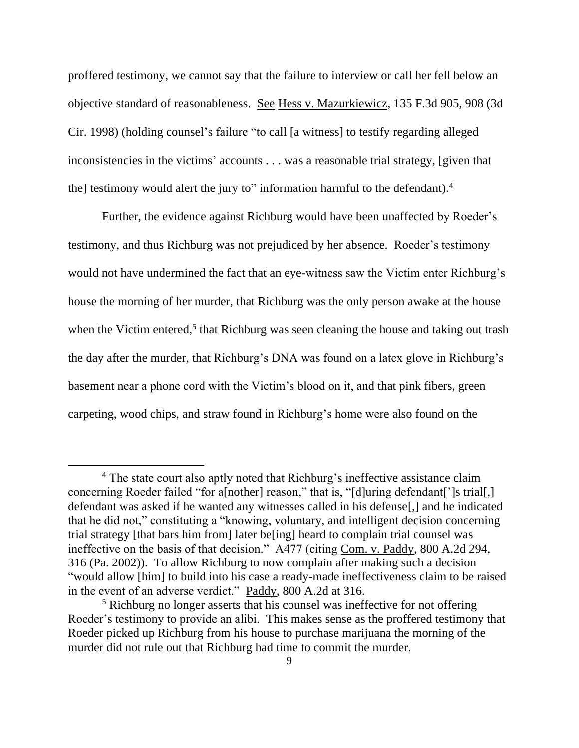proffered testimony, we cannot say that the failure to interview or call her fell below an objective standard of reasonableness. See Hess v. Mazurkiewicz, 135 F.3d 905, 908 (3d Cir. 1998) (holding counsel's failure "to call [a witness] to testify regarding alleged inconsistencies in the victims' accounts . . . was a reasonable trial strategy, [given that the] testimony would alert the jury to" information harmful to the defendant).<sup>4</sup>

Further, the evidence against Richburg would have been unaffected by Roeder's testimony, and thus Richburg was not prejudiced by her absence. Roeder's testimony would not have undermined the fact that an eye-witness saw the Victim enter Richburg's house the morning of her murder, that Richburg was the only person awake at the house when the Victim entered,<sup>5</sup> that Richburg was seen cleaning the house and taking out trash the day after the murder, that Richburg's DNA was found on a latex glove in Richburg's basement near a phone cord with the Victim's blood on it, and that pink fibers, green carpeting, wood chips, and straw found in Richburg's home were also found on the

<sup>&</sup>lt;sup>4</sup> The state court also aptly noted that Richburg's ineffective assistance claim concerning Roeder failed "for a[nother] reason," that is, "[d]uring defendant[']s trial[,] defendant was asked if he wanted any witnesses called in his defense[,] and he indicated that he did not," constituting a "knowing, voluntary, and intelligent decision concerning trial strategy [that bars him from] later be[ing] heard to complain trial counsel was ineffective on the basis of that decision." A477 (citing Com. v. Paddy, 800 A.2d 294, 316 (Pa. 2002)). To allow Richburg to now complain after making such a decision "would allow [him] to build into his case a ready-made ineffectiveness claim to be raised in the event of an adverse verdict." Paddy, 800 A.2d at 316.

<sup>&</sup>lt;sup>5</sup> Richburg no longer asserts that his counsel was ineffective for not offering Roeder's testimony to provide an alibi. This makes sense as the proffered testimony that Roeder picked up Richburg from his house to purchase marijuana the morning of the murder did not rule out that Richburg had time to commit the murder.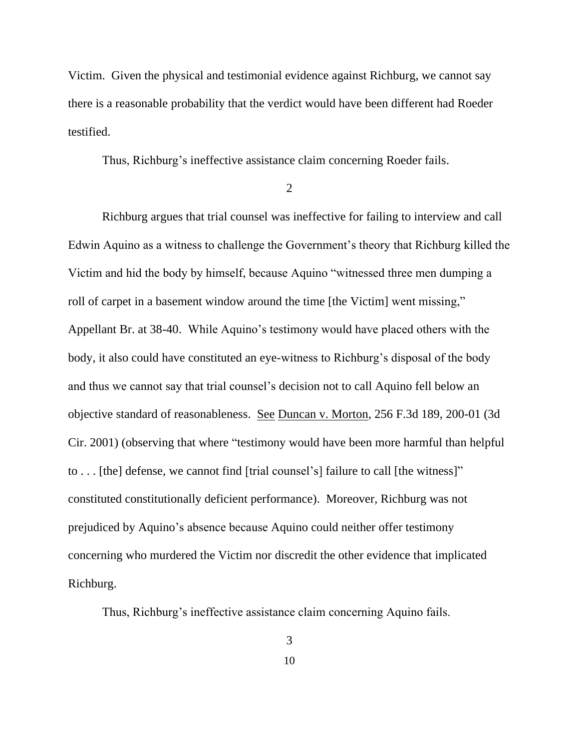Victim. Given the physical and testimonial evidence against Richburg, we cannot say there is a reasonable probability that the verdict would have been different had Roeder testified.

Thus, Richburg's ineffective assistance claim concerning Roeder fails.

2

Richburg argues that trial counsel was ineffective for failing to interview and call Edwin Aquino as a witness to challenge the Government's theory that Richburg killed the Victim and hid the body by himself, because Aquino "witnessed three men dumping a roll of carpet in a basement window around the time [the Victim] went missing," Appellant Br. at 38-40. While Aquino's testimony would have placed others with the body, it also could have constituted an eye-witness to Richburg's disposal of the body and thus we cannot say that trial counsel's decision not to call Aquino fell below an objective standard of reasonableness. See Duncan v. Morton, 256 F.3d 189, 200-01 (3d Cir. 2001) (observing that where "testimony would have been more harmful than helpful to . . . [the] defense, we cannot find [trial counsel's] failure to call [the witness]" constituted constitutionally deficient performance). Moreover, Richburg was not prejudiced by Aquino's absence because Aquino could neither offer testimony concerning who murdered the Victim nor discredit the other evidence that implicated Richburg.

Thus, Richburg's ineffective assistance claim concerning Aquino fails.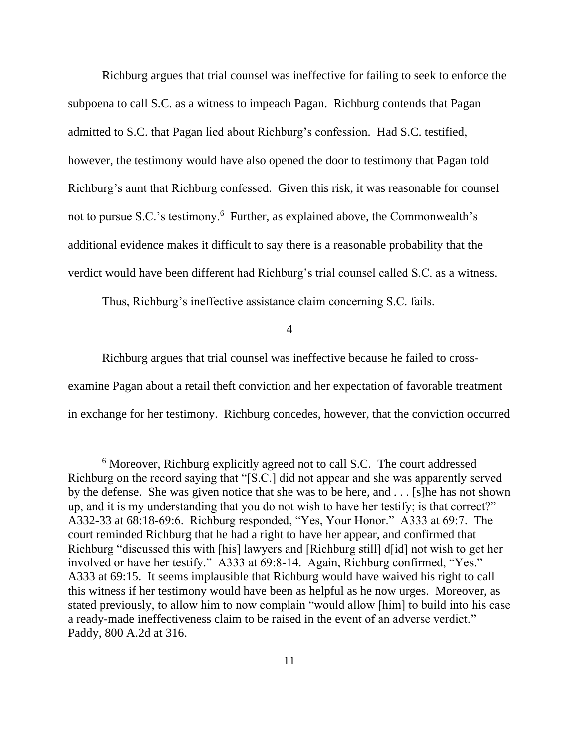Richburg argues that trial counsel was ineffective for failing to seek to enforce the subpoena to call S.C. as a witness to impeach Pagan. Richburg contends that Pagan admitted to S.C. that Pagan lied about Richburg's confession. Had S.C. testified, however, the testimony would have also opened the door to testimony that Pagan told Richburg's aunt that Richburg confessed. Given this risk, it was reasonable for counsel not to pursue S.C.'s testimony.<sup>6</sup> Further, as explained above, the Commonwealth's additional evidence makes it difficult to say there is a reasonable probability that the verdict would have been different had Richburg's trial counsel called S.C. as a witness.

Thus, Richburg's ineffective assistance claim concerning S.C. fails.

4

Richburg argues that trial counsel was ineffective because he failed to crossexamine Pagan about a retail theft conviction and her expectation of favorable treatment in exchange for her testimony. Richburg concedes, however, that the conviction occurred

<sup>6</sup> Moreover, Richburg explicitly agreed not to call S.C. The court addressed Richburg on the record saying that "[S.C.] did not appear and she was apparently served by the defense. She was given notice that she was to be here, and . . . [s]he has not shown up, and it is my understanding that you do not wish to have her testify; is that correct?" A332-33 at 68:18-69:6. Richburg responded, "Yes, Your Honor." A333 at 69:7. The court reminded Richburg that he had a right to have her appear, and confirmed that Richburg "discussed this with [his] lawyers and [Richburg still] d[id] not wish to get her involved or have her testify." A333 at 69:8-14. Again, Richburg confirmed, "Yes." A333 at 69:15. It seems implausible that Richburg would have waived his right to call this witness if her testimony would have been as helpful as he now urges. Moreover, as stated previously, to allow him to now complain "would allow [him] to build into his case a ready-made ineffectiveness claim to be raised in the event of an adverse verdict." Paddy, 800 A.2d at 316.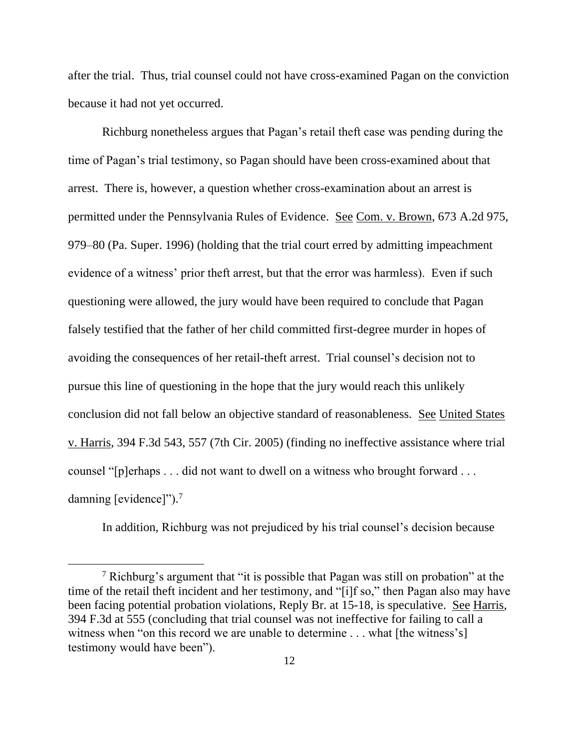after the trial. Thus, trial counsel could not have cross-examined Pagan on the conviction because it had not yet occurred.

Richburg nonetheless argues that Pagan's retail theft case was pending during the time of Pagan's trial testimony, so Pagan should have been cross-examined about that arrest. There is, however, a question whether cross-examination about an arrest is permitted under the Pennsylvania Rules of Evidence. See Com. v. Brown, 673 A.2d 975, 979–80 (Pa. Super. 1996) (holding that the trial court erred by admitting impeachment evidence of a witness' prior theft arrest, but that the error was harmless). Even if such questioning were allowed, the jury would have been required to conclude that Pagan falsely testified that the father of her child committed first-degree murder in hopes of avoiding the consequences of her retail-theft arrest. Trial counsel's decision not to pursue this line of questioning in the hope that the jury would reach this unlikely conclusion did not fall below an objective standard of reasonableness. See United States v. Harris, 394 F.3d 543, 557 (7th Cir. 2005) (finding no ineffective assistance where trial counsel "[p]erhaps . . . did not want to dwell on a witness who brought forward . . . damning [evidence]"). 7

In addition, Richburg was not prejudiced by his trial counsel's decision because

<sup>7</sup> Richburg's argument that "it is possible that Pagan was still on probation" at the time of the retail theft incident and her testimony, and "[i]f so," then Pagan also may have been facing potential probation violations, Reply Br. at 15-18, is speculative. See Harris, 394 F.3d at 555 (concluding that trial counsel was not ineffective for failing to call a witness when "on this record we are unable to determine . . . what [the witness's] testimony would have been").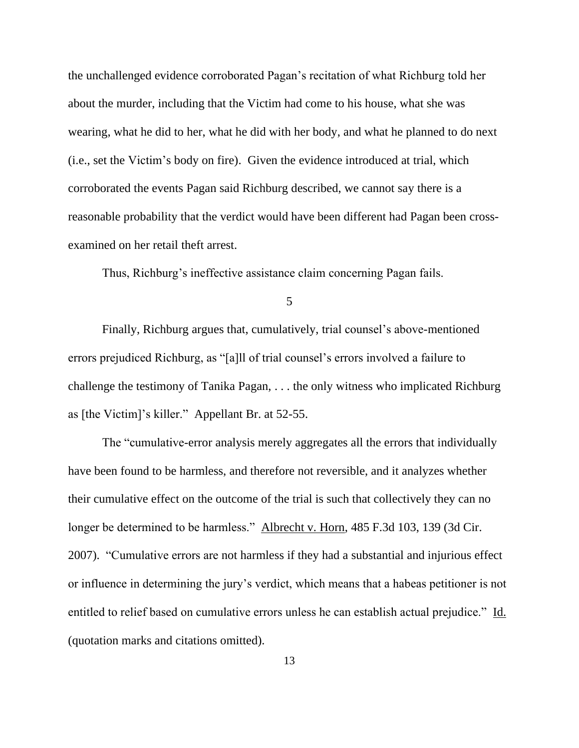the unchallenged evidence corroborated Pagan's recitation of what Richburg told her about the murder, including that the Victim had come to his house, what she was wearing, what he did to her, what he did with her body, and what he planned to do next (i.e., set the Victim's body on fire). Given the evidence introduced at trial, which corroborated the events Pagan said Richburg described, we cannot say there is a reasonable probability that the verdict would have been different had Pagan been crossexamined on her retail theft arrest.

Thus, Richburg's ineffective assistance claim concerning Pagan fails.

5

Finally, Richburg argues that, cumulatively, trial counsel's above-mentioned errors prejudiced Richburg, as "[a]ll of trial counsel's errors involved a failure to challenge the testimony of Tanika Pagan, . . . the only witness who implicated Richburg as [the Victim]'s killer." Appellant Br. at 52-55.

The "cumulative-error analysis merely aggregates all the errors that individually have been found to be harmless, and therefore not reversible, and it analyzes whether their cumulative effect on the outcome of the trial is such that collectively they can no longer be determined to be harmless." Albrecht v. Horn, 485 F.3d 103, 139 (3d Cir. 2007). "Cumulative errors are not harmless if they had a substantial and injurious effect or influence in determining the jury's verdict, which means that a habeas petitioner is not entitled to relief based on cumulative errors unless he can establish actual prejudice." Id. (quotation marks and citations omitted).